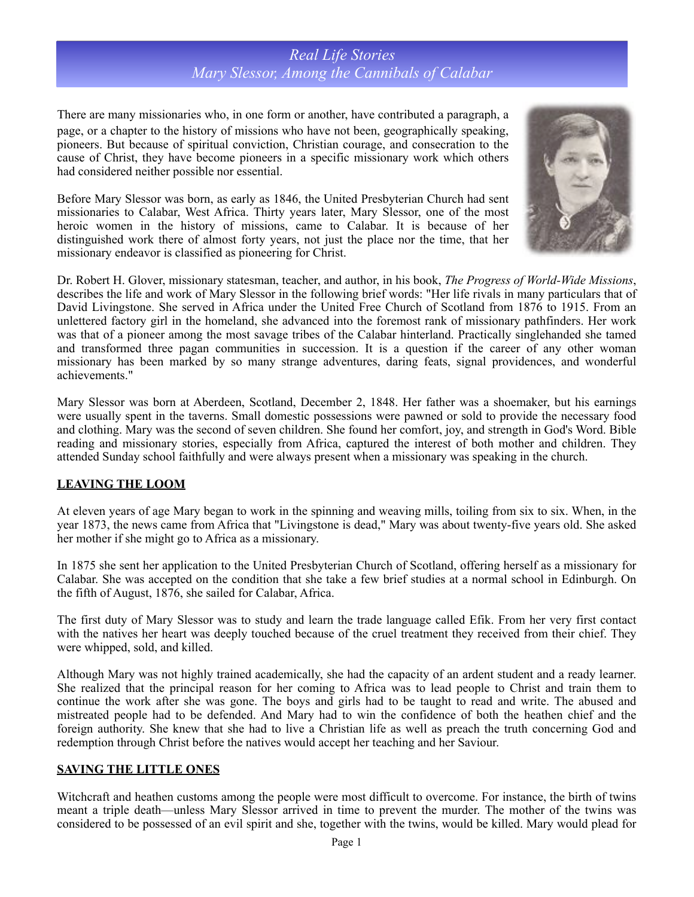# *Real Life Stories Mary Slessor, Among the Cannibals of Calabar*

There are many missionaries who, in one form or another, have contributed a paragraph, a page, or a chapter to the history of missions who have not been, geographically speaking, pioneers. But because of spiritual conviction, Christian courage, and consecration to the cause of Christ, they have become pioneers in a specific missionary work which others had considered neither possible nor essential.

Before Mary Slessor was born, as early as 1846, the United Presbyterian Church had sent missionaries to Calabar, West Africa. Thirty years later, Mary Slessor, one of the most heroic women in the history of missions, came to Calabar. It is because of her distinguished work there of almost forty years, not just the place nor the time, that her missionary endeavor is classified as pioneering for Christ.



Dr. Robert H. Glover, missionary statesman, teacher, and author, in his book, *The Progress of World-Wide Missions*, describes the life and work of Mary Slessor in the following brief words: "Her life rivals in many particulars that of David Livingstone. She served in Africa under the United Free Church of Scotland from 1876 to 1915. From an unlettered factory girl in the homeland, she advanced into the foremost rank of missionary pathfinders. Her work was that of a pioneer among the most savage tribes of the Calabar hinterland. Practically singlehanded she tamed and transformed three pagan communities in succession. It is a question if the career of any other woman missionary has been marked by so many strange adventures, daring feats, signal providences, and wonderful achievements."

Mary Slessor was born at Aberdeen, Scotland, December 2, 1848. Her father was a shoemaker, but his earnings were usually spent in the taverns. Small domestic possessions were pawned or sold to provide the necessary food and clothing. Mary was the second of seven children. She found her comfort, joy, and strength in God's Word. Bible reading and missionary stories, especially from Africa, captured the interest of both mother and children. They attended Sunday school faithfully and were always present when a missionary was speaking in the church.

### **LEAVING THE LOOM**

At eleven years of age Mary began to work in the spinning and weaving mills, toiling from six to six. When, in the year 1873, the news came from Africa that "Livingstone is dead," Mary was about twenty-five years old. She asked her mother if she might go to Africa as a missionary.

In 1875 she sent her application to the United Presbyterian Church of Scotland, offering herself as a missionary for Calabar. She was accepted on the condition that she take a few brief studies at a normal school in Edinburgh. On the fifth of August, 1876, she sailed for Calabar, Africa.

The first duty of Mary Slessor was to study and learn the trade language called Efik. From her very first contact with the natives her heart was deeply touched because of the cruel treatment they received from their chief. They were whipped, sold, and killed.

Although Mary was not highly trained academically, she had the capacity of an ardent student and a ready learner. She realized that the principal reason for her coming to Africa was to lead people to Christ and train them to continue the work after she was gone. The boys and girls had to be taught to read and write. The abused and mistreated people had to be defended. And Mary had to win the confidence of both the heathen chief and the foreign authority. She knew that she had to live a Christian life as well as preach the truth concerning God and redemption through Christ before the natives would accept her teaching and her Saviour.

### **SAVING THE LITTLE ONES**

Witchcraft and heathen customs among the people were most difficult to overcome. For instance, the birth of twins meant a triple death—unless Mary Slessor arrived in time to prevent the murder. The mother of the twins was considered to be possessed of an evil spirit and she, together with the twins, would be killed. Mary would plead for